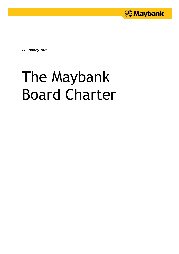

**27 January 2021**

# The Maybank Board Charter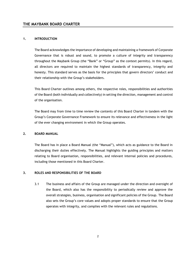# **1. INTRODUCTION**

The Board acknowledges the importance of developing and maintaining a framework of Corporate Governance that is robust and sound, to promote a culture of integrity and transparency throughout the Maybank Group (the "Bank" or "Group" as the context permits). In this regard, all directors are required to maintain the highest standards of transparency, integrity and honesty. This standard serves as the basis for the principles that govern directors' conduct and their relationship with the Group's stakeholders.

This Board Charter outlines among others, the respective roles, responsibilities and authorities of the Board (both individually and collectively) in setting the direction, management and control of the organisation.

The Board may from time to time review the contents of this Board Charter in tandem with the Group's Corporate Governance Framework to ensure its relevance and effectiveness in the light of the ever changing environment in which the Group operates.

#### **2. BOARD MANUAL**

The Board has in place a Board Manual (the "Manual"), which acts as guidance to the Board in discharging their duties effectively. The Manual highlights the guiding principles and matters relating to Board organisation, responsibilities, and relevant internal policies and procedures, including those mentioned in this Board Charter.

# **3. ROLES AND RESPONSIBILITIES OF THE BOARD**

3.1 The business and affairs of the Group are managed under the direction and oversight of the Board, which also has the responsibility to periodically review and approve the overall strategies, business, organisation and significant policies of the Group. The Board also sets the Group's core values and adopts proper standards to ensure that the Group operates with integrity, and complies with the relevant rules and regulations.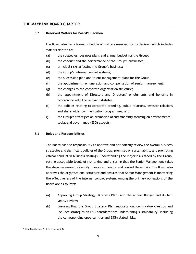## 3.2 **Reserved Matters for Board's Decision**

The Board also has a formal schedule of matters reserved for its decision which includes matters related to:-

- (a) the strategies, business plans and annual budget for the Group;
- (b) the conduct and the performance of the Group's businesses;
- (c) principal risks affecting the Group's business;
- (d) the Group's internal control systems;
- (e) the succession plan and talent management plans for the Group;
- (f) the appointment, remuneration and compensation of senior management;
- (g) the changes to the corporate organisation structure;
- (h) the appointment of Directors and Directors' emoluments and benefits in accordance with the relevant statutes;
- (i) the policies relating to corporate branding, public relations, investor relations and shareholder communication programmes; and
- (j) the Group's strategies on promotion of sustainability focusing on environmental, social and governance (ESG) aspects.

# 3.3 **Roles and Responsibilities**

The Board has the responsibility to approve and periodically review the overall business strategies and significant policies of the Group, premised on sustainability and promoting ethical conduct in business dealings, understanding the major risks faced by the Group, setting acceptable levels of risk taking and ensuring that the Senior Management takes the steps necessary to identify, measure, monitor and control these risks. The Board also approves the organisational structure and ensures that Senior Management is monitoring the effectiveness of the internal control system. Among the primary obligations of the Board are as follows:-

- (a) Approving Group Strategy, Business Plans and the Annual Budget and its half yearly review;
- (b) Ensuring that the Group Strategy Plan supports long-term value creation and  $includes$  strategies on ESG considerations underpinning sustainability<sup>1</sup> including the corresponding opportunities and ESG-related risks;

 $\overline{a}$ <sup>1</sup> Per Guidance 1.1 of the MCCG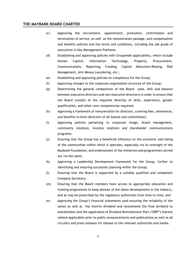- (c) Approving the recruitment, appointment, promotion, confirmation and termination of service, as well as the remuneration package, and compensation and benefits policies and the terms and conditions, including the job grade of executives in Key Management Positions;
- (d) Establishing and approving policies with Groupwide applicability, which include Human Capital, Information Technology, Property, Procurement, Communications, Reporting, Funding, Capital Allocation/Raising, Risk Management, Anti-Money Laundering, etc.;
- (e) Establishing and approving policies on compliance for the Group;
- (f) Approving changes to the corporate organisation structure of the Group;
- (g) Determining the general composition of the Board (size, skill and balance between executive directors and non-executive directors) in order to ensure that the Board consists of the requisite diversity of skills, experience, gender qualification, and other core competencies required;
- (h) Approving a framework of remuneration for directors, covering fees, allowances, and benefits-in-kind (directors of all boards and committees);
- (i) Approving policies pertaining to corporate image, brand management, community relations, investor relations and shareholder communications programs;
- (j) Ensuring that the Group has a beneficial influence on the economic well-being of the communities within which it operates, especially via its oversight of the Maybank Foundation, and endorsement of the initiatives and programmes carried out via the same;
- (k) Approving a Leadership Development framework for the Group, further to identifying and ensuring succession planning within the Group;
- (l) Ensuring that the Board is supported by a suitably qualified and competent Company Secretary;
- (m) Ensuring that the Board members have access to appropriate education and training programmes to keep abreast of the latest developments in the industry, and as may be prescribed by the regulatory authorities from time to time; and
- (n) Approving the Group's financial statements (and ensuring the reliability of the same) as well as the interim dividend and recommend the final dividend to shareholders and the application of Dividend Reinvestment Plan ("DRP") thereto (where applicable) prior to public announcements and publications as well as all circulars and press releases for release to the relevant authorities and media.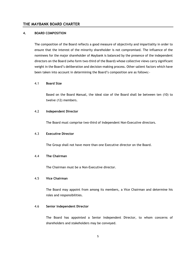#### **4. BOARD COMPOSITION**

The composition of the Board reflects a good measure of objectivity and impartiality in order to ensure that the interest of the minority shareholder is not compromised. The influence of the nominees for the major shareholder of Maybank is balanced by the presence of the independent directors on the Board (who form two-third of the Board) whose collective views carry significant weight in the Board's deliberation and decision-making process. Other salient factors which have been taken into account in determining the Board's composition are as follows:-

## 4.1 **Board Size**

Based on the Board Manual, the ideal size of the Board shall be between ten (10) to twelve (12) members.

#### 4.2 **Independent Director**

The Board must comprise two-third of Independent Non-Executive directors.

#### 4.3 **Executive Director**

The Group shall not have more than one Executive director on the Board.

# 4.4 **The Chairman**

The Chairman must be a Non-Executive director.

# 4.5 **Vice Chairman**

The Board may appoint from among its members, a Vice Chairman and determine his roles and responsibilities.

#### 4.6 **Senior Independent Director**

The Board has appointed a Senior Independent Director, to whom concerns of shareholders and stakeholders may be conveyed.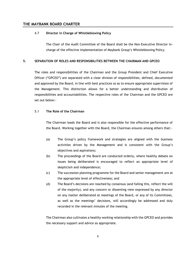## 4.7 **Director in Charge of Whistleblowing Policy**

The Chair of the Audit Committee of the Board shall be the Non-Executive Director incharge of the effective implementation of Maybank Group's Whistleblowing Policy.

# **5. SEPARATION OF ROLES AND RESPONSIBILITIES BETWEEN THE CHAIRMAN AND GPCEO**

The roles and responsibilities of the Chairman and the Group President and Chief Executive Officer ("GPCEO") are separated with a clear division of responsibilities, defined, documented and approved by the Board, in line with best practices so as to ensure appropriate supervision of the Management. This distinction allows for a better understanding and distribution of responsibilities and accountabilities. The respective roles of the Chairman and the GPCEO are set out below:-

# 5.1 **The Role of the Chairman**

The Chairman leads the Board and is also responsible for the effective performance of the Board. Working together with the Board, the Chairman ensures among others that:-

- (a) The Group's policy framework and strategies are aligned with the business activities driven by the Management and is consistent with the Group's objectives and aspirations;
- (b) The proceedings of the Board are conducted orderly, where healthy debate on issues being deliberated is encouraged to reflect an appropriate level of skepticism and independence;
- (c) The succession planning programme for the Board and senior management are at the appropriate level of effectiveness; and
- (d) The Board's decisions are reached by consensus (and failing this, reflect the will of the majority), and any concern or dissenting view expressed by any director on any matter deliberated at meetings of the Board, or any of its Committees, as well as the meetings' decisions, will accordingly be addressed and duly recorded in the relevant minutes of the meeting.

The Chairman also cultivates a healthy working relationship with the GPCEO and provides the necessary support and advice as appropriate.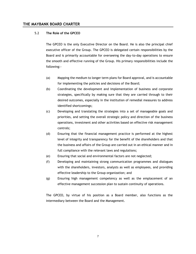## 5.2 **The Role of the GPCEO**

The GPCEO is the only Executive Director on the Board. He is also the principal chief executive officer of the Group. The GPCEO is delegated certain responsibilities by the Board and is primarily accountable for overseeing the day-to-day operations to ensure the smooth and effective running of the Group. His primary responsibilities include the following:-

- (a) Mapping the medium to longer term plans for Board approval, and is accountable for implementing the policies and decisions of the Board;
- (b) Coordinating the development and implementation of business and corporate strategies, specifically by making sure that they are carried through to their desired outcomes, especially in the institution of remedial measures to address identified shortcomings;
- (c) Developing and translating the strategies into a set of manageable goals and priorities, and setting the overall strategic policy and direction of the business operations, investment and other activities based on effective risk management controls;
- (d) Ensuring that the financial management practice is performed at the highest level of integrity and transparency for the benefit of the shareholders and that the business and affairs of the Group are carried out in an ethical manner and in full compliance with the relevant laws and regulations;
- (e) Ensuring that social and environmental factors are not neglected;
- (f) Developing and maintaining strong communication programmes and dialogues with the shareholders, investors, analysts as well as employees, and providing effective leadership to the Group organization; and
- (g) Ensuring high management competency as well as the emplacement of an effective management succession plan to sustain continuity of operations.

The GPCEO, by virtue of his position as a Board member, also functions as the intermediary between the Board and the Management.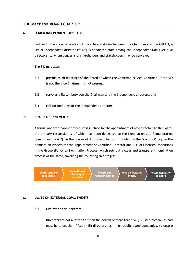## **6. SENIOR INDEPENDENT DIRECTOR**

Further to the clear separation of the role and duties between the Chairman and the GPCEO, a Senior Independent director ("SID") is appointed from among the Independent Non-Executive directors, to whom concerns of shareholders and stakeholders may be conveyed.

The SID may also:-

- 6.1 preside at all meetings of the Board at which the Chairman or Vice-Chairman (if the SID is not the Vice Chairman) is not present;
- 6.2 serve as a liaison between the Chairman and the Independent directors; and
- 6.3 call for meetings of the Independent directors.

# **7. BOARD APPOINTMENTS**

A formal and transparent procedure is in place for the appointment of new directors to the Board, the primary responsibility of which has been delegated to the Nomination and Remuneration Committee ("NRC"). In the course of its duties, the NRC is guided by the Group's Policy on the Nomination Process for the Appointment of Chairman, Director and CEO of Licensed Institutions in the Group (Policy on Nomination Process) which sets out a clear and transparent nomination process of the same, involving the following five stages:-

**Identification of** candidates

**Evaluation of** suitability of candidates

Meeting up<br>with candidates

**Final deliberation** by NRC

**Recommendation** to Board

# **8. LIMITS ON EXTERNAL COMMITMENTS**

#### 8.1 **Limitation for Directors**

Directors are not allowed to sit on the boards of more than five (5) listed companies and must hold less than fifteen (15) directorships in non-public listed companies, to ensure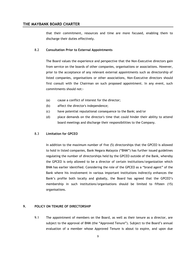that their commitment, resources and time are more focused, enabling them to discharge their duties effectively.

#### 8.2 **Consultation Prior to External Appointments**

The Board values the experience and perspective that the Non-Executive directors gain from service on the boards of other companies, organisations or associations. However, prior to the acceptance of any relevant external appointments such as directorship of listed companies, organisations or other associations, Non-Executive directors should first consult with the Chairman on such proposed appointment. In any event, such commitments should not:-

- (a) cause a conflict of interest for the director;
- (b) affect the director's independence;
- (c) have potential reputational consequence to the Bank; and/or
- (d) place demands on the director's time that could hinder their ability to attend board meetings and discharge their responsibilities to the Company.

#### 8.3 **Limitation for GPCEO**

In addition to the maximum number of five (5) directorships that the GPCEO is allowed to hold in listed companies, Bank Negara Malaysia ("BNM") has further issued guidelines regulating the number of directorships held by the GPCEO outside of the Bank, whereby the GPCEO is only allowed to be a director of certain institutions/organization which BNM has earlier identified. Considering the role of the GPCEO as a "brand agent" of the Bank where his involvement in various important institutions indirectly enhances the Bank's profile both locally and globally, the Board has agreed that the GPCEO's membership in such institutions/organisations should be limited to fifteen (15) organisations.

## **9. POLICY ON TENURE OF DIRECTORSHIP**

9.1 The appointment of members on the Board, as well as their tenure as a director, are subject to the approval of BNM (the "Approved Tenure"). Subject to the Board's annual evaluation of a member whose Approved Tenure is about to expire, and upon due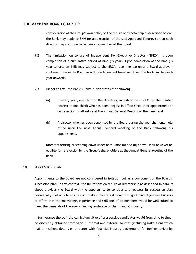consideration of the Group's own policy on the tenure of directorship as described below, the Bank may apply to BNM for an extension of the said Approved Tenure, so that such director may continue to remain as a member of the Board.

- 9.2 The limitation on tenure of Independent Non-Executive Director ("INED") is upon completion of a cumulative period of nine (9) years. Upon completion of the nine (9) year tenure, an INED may subject to the NRC's recommendation and Board approval, continue to serve the Board as a Non-Independent Non-Executive Director from the ninth year onwards.
- 9.3 Further to this, the Bank's Constitution states the following:-
	- (a) In every year, one-third of the directors, including the GPCEO (or the number nearest to one-third) who has been longest in office since their appointment or last election, shall retire at the Annual General Meeting of the Bank; and
	- (b) A director who has been appointed by the Board during the year shall only hold office until the next Annual General Meeting of the Bank following his appointment.

Directors retiring or stepping down under both limbs (a) and (b) above, shall however be eligible for re-election by the Group's shareholders at the Annual General Meeting of the Bank.

#### **10. SUCCESSION PLAN**

Appointments to the Board are not considered in isolation but as a component of the Board's succession plan. In this context, the limitations on tenure of directorship as described in para. 9 above provides the Board with the opportunity to consider and reassess its succession plan periodically, not only to ensure continuity in meeting its long term goals and objectives but also to affirm that the knowledge, experience and skill sets of its members would be well suited to meet the demands of the ever changing landscape of the financial industry.

In furtherance thereof, the curriculum vitae of prospective candidates would from time to time, be discreetly obtained from various internal and external sources (including institutions which maintain salient details on directors with financial industry background) for further review by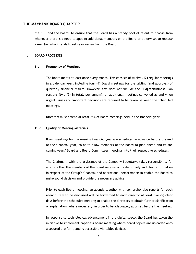the NRC and the Board, to ensure that the Board has a steady pool of talent to choose from whenever there is a need to appoint additional members on the Board or otherwise, to replace a member who intends to retire or resign from the Board.

#### **11. BOARD PROCESSES**

#### 11.1 **Frequency of Meetings**

The Board meets at least once every month. This consists of twelve (12) regular meetings in a calendar year, including four (4) Board meetings for the tabling (and approval) of quarterly financial results. However, this does not include the Budget/Business Plan sessions (two (2) in total, per annum), or additional meetings convened as and when urgent issues and important decisions are required to be taken between the scheduled meetings.

Directors must attend at least 75% of Board meetings held in the financial year.

#### 11.2 **Quality of Meeting Materials**

Board Meetings for the ensuing financial year are scheduled in advance before the end of the financial year, so as to allow members of the Board to plan ahead and fit the coming years' Board and Board Committees meetings into their respective schedules.

The Chairman, with the assistance of the Company Secretary, takes responsibility for ensuring that the members of the Board receive accurate, timely and clear information in respect of the Group's financial and operational performance to enable the Board to make sound decision and provide the necessary advice.

Prior to each Board meeting, an agenda together with comprehensive reports for each agenda item to be discussed will be forwarded to each director at least five (5) clear days before the scheduled meeting to enable the directors to obtain further clarification or explanation, where necessary, in order to be adequately apprised before the meeting.

In response to technological advancement in the digital space, the Board has taken the initiative to implement paperless board meeting where board papers are uploaded onto a secured platform, and is accessible via tablet devices.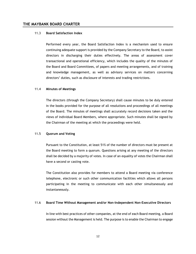#### 11.3 **Board Satisfaction Index**

Performed every year, the Board Satisfaction Index is a mechanism used to ensure continuing adequate support is provided by the Company Secretary to the Board, to assist directors in discharging their duties effectively. The areas of assessment cover transactional and operational efficiency, which includes the quality of the minutes of the Board and Board Committees, of papers and meeting arrangements, and of training and knowledge management, as well as advisory services on matters concerning directors' duties, such as disclosure of interests and trading restrictions.

#### 11.4 **Minutes of Meetings**

The directors (through the Company Secretary) shall cause minutes to be duly entered in the books provided for the purpose of all resolutions and proceedings of all meetings of the Board. The minutes of meetings shall accurately record decisions taken and the views of individual Board Members, where appropriate. Such minutes shall be signed by the Chairman of the meeting at which the proceedings were held.

#### 11.5 **Quorum and Voting**

Pursuant to the Constitution, at least 51% of the number of directors must be present at the Board meeting to form a quorum. Questions arising at any meeting of the directors shall be decided by a majority of votes. In case of an equality of votes the Chairman shall have a second or casting vote.

The Constitution also provides for members to attend a Board meeting via conference telephone, electronic or such other communication facilities which allows all persons participating in the meeting to communicate with each other simultaneously and instantaneously.

#### 11.6 **Board Time Without Management and/or Non-Independent Non-Executive Directors**

In line with best practices of other companies, at the end of each Board meeting, a Board session without the Management is held. The purpose is to enable the Chairman to engage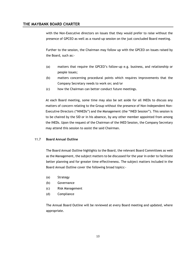with the Non-Executive directors on issues that they would prefer to raise without the presence of GPCEO as well as a round-up session on the just concluded Board meeting.

Further to the session, the Chairman may follow up with the GPCEO on issues raised by the Board, such as:-

- (a) matters that require the GPCEO's follow-up e.g. business, and relationship or people issues;
- (b) matters concerning procedural points which requires improvements that the Company Secretary needs to work on; and/or
- (c) how the Chairman can better conduct future meetings.

At each Board meeting, some time may also be set aside for all INEDs to discuss any matters of concern relating to the Group without the presence of Non-Independent Non-Executive Directors ("NINEDs") and the Management (the "INED Session"). This session is to be chaired by the SID or in his absence, by any other member appointed from among the INEDs. Upon the request of the Chairman of the INED Session, the Company Secretary may attend this session to assist the said Chairman.

# 11.7 **Board Annual Outline**

The Board Annual Outline highlights to the Board, the relevant Board Committees as well as the Management, the subject matters to be discussed for the year in order to facilitate better planning and for greater time effectiveness. The subject matters included in the Board Annual Outline cover the following broad topics:-

- (a) Strategy
- (b) Governance
- (c) Risk Management
- (d) Compliance

The Annual Board Outline will be reviewed at every Board meeting and updated, where appropriate.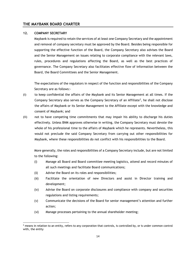#### **12. COMPANY SECRETARY**

 $\overline{a}$ 

Maybank is required to retain the services of at least one Company Secretary and the appointment and removal of company secretary must be approved by the Board. Besides being responsible for supporting the effective function of the Board, the Company Secretary also advises the Board and the Senior Management on issues relating to corporate compliance with the relevant laws, rules, procedures and regulations affecting the Board, as well as the best practices of governance. The Company Secretary also facilitates effective flow of information between the Board, the Board Committees and the Senior Management.

The expectations of the regulators in respect of the function and responsibilities of the Company Secretary are as follows:-

- (i) to keep confidential the affairs of the Maybank and its Senior Management at all times. If the Company Secretary also serves as the Company Secretary of an Affiliate<sup>2</sup>, he shall not disclose the affairs of Maybank or its Senior Management to the Affiliate except with the knowledge and consent of Maybank; and
- (ii) not to have competing time commitments that may impair his ability to discharge his duties effectively. Unless BNM approves otherwise in writing, the Company Secretary must devote the whole of his professional time to the affairs of Maybank which he represents. Nevertheless, this would not preclude the said Company Secretary from carrying out other responsibilities for Maybank, where these responsibilities do not conflict with his responsibilities to the Board.

More generally, the roles and responsibilities of a Company Secretary include, but are not limited to the following:

- (i) Manage all Board and Board committee meeting logistics, attend and record minutes of all such meetings and facilitate Board communications;
- (ii) Advise the Board on its roles and responsibilities;
- (iii) Facilitate the orientation of new Directors and assist in Director training and development;
- (iv) Advise the Board on corporate disclosures and compliance with company and securities regulations and listing requirements;
- (v) Communicate the decisions of the Board for senior management's attention and further action;
- (vi) Manage processes pertaining to the annual shareholder meeting;

 $2$  means in relation to an entity, refers to any corporation that controls, is controlled by, or is under common control with, the entity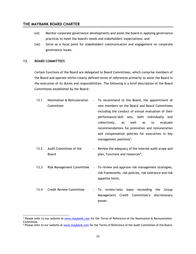- (vii) Monitor corporate governance developments and assist the board in applying governance practices to meet the board's needs and stakeholders' expectations; and
- (viii) Serve as a focal point for stakeholders' communication and engagement on corporate governance issues.

## **13. BOARD COMMITTEES**

 $\overline{a}$ 

Certain functions of the Board are delegated to Board Committees, which comprise members of the Board and operate within clearly defined terms of references primarily to assist the Board in the execution of its duties and responsibilities. The following is a brief description of the Board Committees established by the Board:-

- 13.1 Nomination & Remuneration Committee To recommend to the Board, the appointment of new members on the Board and Board Committees including the conduct of annual evaluation of their performance/skill sets, both individually and collectively, as well as to evaluate recommendations for promotion and remuneration and compensation policies for executives in key management positions<sup>3</sup>.
- 13.2 Audit Committee of the Board Review the adequacy of the internal audit scope and plan, functions and resources<sup>4</sup>.
- 13.3 Risk Management Committee To review and approve risk management strategies, risk frameworks, risk policies, risk tolerance and risk appetite limits.
- 13.4 Credit Review Committee To review/veto loans exceeding the Group Management Credit Committee's discretionary power.

<sup>&</sup>lt;sup>3</sup> Please refer to our website at [www.maybank.com](http://www.maybank.com/) for the Terms of Reference of the Nomination & Remuneration Committee.

<sup>&</sup>lt;sup>4</sup> Please refer to our website a[t www.maybank.com](http://www.maybank.com/) for the Terms of Reference of the Audit Committee of the Board.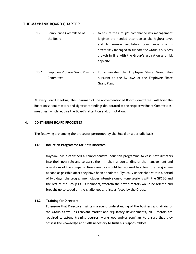- 13.5 Compliance Committee of the Board to ensure the Group's compliance risk management is given the needed attention at the highest level and to ensure regulatory compliance risk is effectively managed to support the Group's business growth in line with the Group's aspiration and risk appetite.
- 13.6 Employees' Share Grant Plan To administer the Employee Share Grant Plan Committee pursuant to the By-Laws of the Employee Share Grant Plan.

At every Board meeting, the Chairman of the abovementioned Board Committees will brief the Board on salient matters and significant findings deliberated at the respective Board Committees' meetings, which require the Board's attention and/or notation.

# **14. CONTINUING BOARD PROCESSES**

The following are among the processes performed by the Board on a periodic basis:-

#### 14.1 **Induction Programme for New Directors**

Maybank has established a comprehensive induction programme to ease new directors into their new role and to assist them in their understanding of the management and operations of the company. New directors would be required to attend the programme as soon as possible after they have been appointed. Typically undertaken within a period of two days, the programme includes intensive one-on-one sessions with the GPCEO and the rest of the Group EXCO members, wherein the new directors would be briefed and brought up to speed on the challenges and issues faced by the Group.

#### 14.2 **Training for Directors**

To ensure that Directors maintain a sound understanding of the business and affairs of the Group as well as relevant market and regulatory developments, all Directors are required to attend training courses, workshops and/or seminars to ensure that they possess the knowledge and skills necessary to fulfil his responsibilities.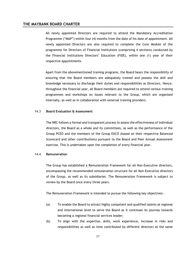All newly appointed Directors are required to attend the Mandatory Accreditation Programme ("MAP") within four (4) months from the date of his date of appointment. All newly appointed Directors are also required to complete the Core Module of the programme for Directors of Financial Institutions (comprising 4 sections) conducted by the Financial Institutions Directors' Education (FIDE), within one (1) year of their respective appointments.

Apart from the abovementioned training programs, the Board bears the responsibility of ensuring that the Board members are adequately trained and possess the skill and knowledge necessary to discharge their duties and responsibilities as Directors. Hence, throughout the financial year, all Board members are required to attend various training programmes and workshops on issues relevant to the Group, which are organised internally, as well as in collaboration with external training providers.

# 14.3 **Board Evaluation & Assessment**

The NRC follows a formal and transparent process to assess the effectiveness of individual directors, the Board as a whole and its committees, as well as the performance of the Group PCEO and the members of the Group EXCO (based on their respective Balanced Scorecard and other contributions) pursuant to the Board and Peer Annual Assessment exercise. This is undertaken upon the completion of every financial year.

#### 14.4 **Remuneration**

The Group has established a Remuneration Framework for all Non-Executive directors, encompassing the recommended remuneration structure for all Non-Executive directors of the Group, as well as its subsidiaries. The Remuneration Framework is subject to review by the Board once every three years.

The Remuneration Framework is intended to pursue the following key objectives:-

- (a) To enable the Board to attract highly competent and qualified talents at regional and international level to serve the Board as it continues its journey towards becoming a regional financial services leader;
- (b) To align with the expertise, skills, work experience, increase in risks and responsibilities as well as time contributed by different directors at the same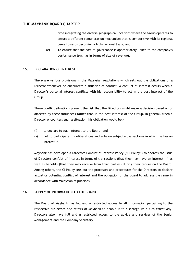time integrating the diverse geographical locations where the Group operates to ensure a different remuneration mechanism that is competitive with its regional peers towards becoming a truly regional bank; and

(c) To ensure that the cost of governance is appropriately linked to the company's performance (such as in terms of size of revenue).

# **15. DECLARATION OF INTEREST**

There are various provisions in the Malaysian regulations which sets out the obligations of a Director whenever he encounters a situation of conflict. A conflict of interest occurs when a Director's personal interest conflicts with his responsibility to act in the best interest of the Group.

These conflict situations present the risk that the Directors might make a decision based on or affected by these influences rather than in the best interest of the Group. In general, when a Director encounters such a situation, his obligation would be:-

- (i) to declare to such interest to the Board; and
- (ii) not to participate in deliberations and vote on subjects/transactions in which he has an interest in.

Maybank has developed a Directors Conflict of Interest Policy ("CI Policy") to address the issue of Directors conflict of interest in terms of transactions (that they may have an interest in) as well as benefits (that they may receive from third parties) during their tenure on the Board. Among others, the CI Policy sets out the processes and procedures for the Directors to declare actual or potential conflict of interest and the obligation of the Board to address the same in accordance with Malaysian regulations.

# **16. SUPPLY OF INFORMATION TO THE BOARD**

The Board of Maybank has full and unrestricted access to all information pertaining to the respective businesses and affairs of Maybank to enable it to discharge its duties effectively. Directors also have full and unrestricted access to the advice and services of the Senior Management and the Company Secretary.